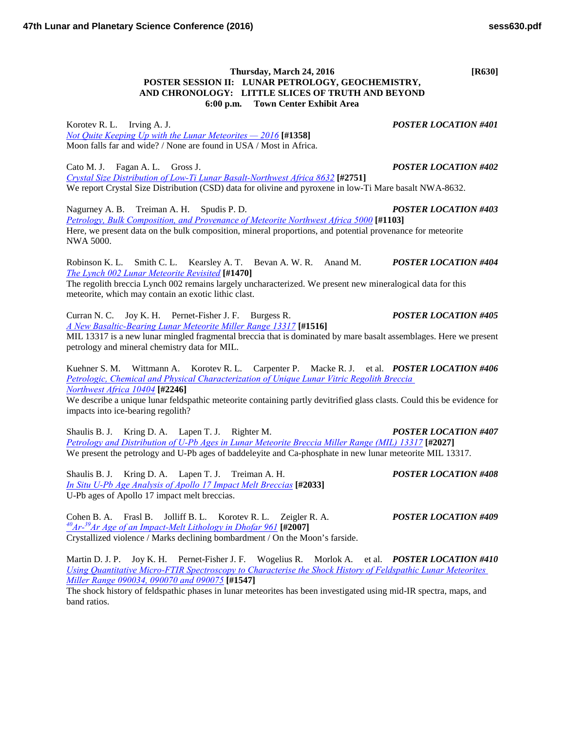**6:00 p.m. Town Center Exhibit Area**

Korotev R. L. Irving A. J. *POSTER LOCATION #401 [Not Quite Keeping Up with the Lunar Meteorites — 2016](http://www.hou.usra.edu/meetings/lpsc2016/pdf/1358.pdf)* **[#1358]** Moon falls far and wide? / None are found in USA / Most in Africa.

Cato M. J. Fagan A. L. Gross J. *POSTER LOCATION #402 [Crystal Size Distribution of Low-Ti Lunar Basalt-Northwest Africa](http://www.hou.usra.edu/meetings/lpsc2016/pdf/2751.pdf) 8632* **[#2751]** We report Crystal Size Distribution (CSD) data for olivine and pyroxene in low-Ti Mare basalt NWA-8632.

Nagurney A. B. Treiman A. H. Spudis P. D. *POSTER LOCATION #403 [Petrology, Bulk Composition, and Provenance of Meteorite Northwest Africa](http://www.hou.usra.edu/meetings/lpsc2016/pdf/1103.pdf) 5000* **[#1103]** Here, we present data on the bulk composition, mineral proportions, and potential provenance for meteorite NWA 5000.

Robinson K. L. Smith C. L. Kearsley A. T. Bevan A. W. R. Anand M. *POSTER LOCATION #404 [The Lynch 002 Lunar Meteorite](http://www.hou.usra.edu/meetings/lpsc2016/pdf/1470.pdf) Revisited* **[#1470]**

The regolith breccia Lynch 002 remains largely uncharacterized. We present new mineralogical data for this meteorite, which may contain an exotic lithic clast.

Curran N. C. Joy K. H. Pernet-Fisher J. F. Burgess R. *POSTER LOCATION #405 [A New Basaltic-Bearing Lunar Meteorite Miller Range](http://www.hou.usra.edu/meetings/lpsc2016/pdf/1516.pdf) 13317* **[#1516]**

MIL 13317 is a new lunar mingled fragmental breccia that is dominated by mare basalt assemblages. Here we present petrology and mineral chemistry data for MIL.

Kuehner S. M. Wittmann A. Korotev R. L. Carpenter P. Macke R. J. et al. *POSTER LOCATION #406 [Petrologic, Chemical and Physical Characterization of Unique Lunar Vitric Regolith Breccia](http://www.hou.usra.edu/meetings/lpsc2016/pdf/2246.pdf)  [Northwest](http://www.hou.usra.edu/meetings/lpsc2016/pdf/2246.pdf) Africa 10404* **[#2246]**

We describe a unique lunar feldspathic meteorite containing partly devitrified glass clasts. Could this be evidence for impacts into ice-bearing regolith?

Shaulis B. J. Kring D. A. Lapen T. J. Righter M. *POSTER LOCATION #407 [Petrology and Distribution of U-Pb Ages in Lunar Meteorite Breccia Miller Range \(MIL\)](http://www.hou.usra.edu/meetings/lpsc2016/pdf/2027.pdf) 13317* **[#2027]** We present the petrology and U-Pb ages of baddeleyite and Ca-phosphate in new lunar meteorite MIL 13317.

Shaulis B. J. Kring D. A. Lapen T. J. Treiman A. H. *POSTER LOCATION #408 [In Situ U-Pb Age Analysis of Apollo 17 Impact Melt](http://www.hou.usra.edu/meetings/lpsc2016/pdf/2033.pdf) Breccias* **[#2033]** U-Pb ages of Apollo 17 impact melt breccias.

Cohen B. A. Frasl B. Jolliff B. L. Korotev R. L. Zeigler R. A. *POSTER LOCATION #409 40Ar-[39Ar Age of an Impact-Melt Lithology in Dhofar](http://www.hou.usra.edu/meetings/lpsc2016/pdf/2007.pdf) 961* **[#2007]** Crystallized violence / Marks declining bombardment / On the Moon's farside.

Martin D. J. P. Joy K. H. Pernet-Fisher J. F. Wogelius R. Morlok A. et al. *POSTER LOCATION #410 [Using Quantitative Micro-FTIR Spectroscopy to Characterise the Shock History of Feldspathic Lunar Meteorites](http://www.hou.usra.edu/meetings/lpsc2016/pdf/1547.pdf)  [Miller Range 090034, 090070 and](http://www.hou.usra.edu/meetings/lpsc2016/pdf/1547.pdf) 090075* **[#1547]**

The shock history of feldspathic phases in lunar meteorites has been investigated using mid-IR spectra, maps, and band ratios.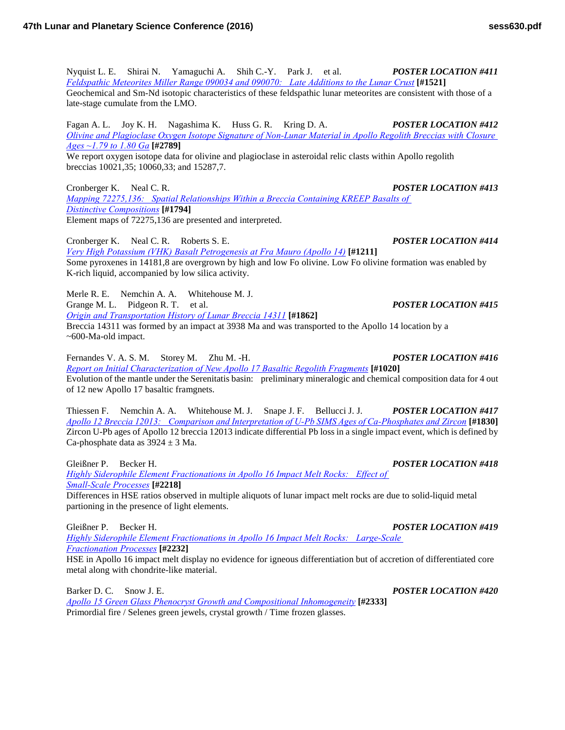Nyquist L. E. Shirai N. Yamaguchi A. Shih C.-Y. Park J. et al. *POSTER LOCATION #411 [Feldspathic Meteorites Miller Range 090034 and 090070: Late Additions to the Lunar](http://www.hou.usra.edu/meetings/lpsc2016/pdf/1521.pdf) Crust* **[#1521]** Geochemical and Sm-Nd isotopic characteristics of these feldspathic lunar meteorites are consistent with those of a late-stage cumulate from the LMO.

Fagan A. L. Joy K. H. Nagashima K. Huss G. R. Kring D. A. *POSTER LOCATION #412 [Olivine and Plagioclase Oxygen Isotope Signature of Non-Lunar Material in Apollo Regolith Breccias with Closure](http://www.hou.usra.edu/meetings/lpsc2016/pdf/2789.pdf)  [Ages ~1.79 to 1.80](http://www.hou.usra.edu/meetings/lpsc2016/pdf/2789.pdf) Ga* **[#2789]**

We report oxygen isotope data for olivine and plagioclase in asteroidal relic clasts within Apollo regolith breccias 10021,35; 10060,33; and 15287,7.

Cronberger K. Neal C. R. *POSTER LOCATION #413 [Mapping 72275,136: Spatial Relationships Within a Breccia Containing KREEP Basalts of](http://www.hou.usra.edu/meetings/lpsc2016/pdf/1794.pdf)  Distinctive [Compositions](http://www.hou.usra.edu/meetings/lpsc2016/pdf/1794.pdf)* **[#1794]** Element maps of 72275,136 are presented and interpreted.

Cronberger K. Neal C. R. Roberts S. E. *POSTER LOCATION #414 [Very High Potassium \(VHK\) Basalt Petrogenesis at Fra Mauro \(Apollo](http://www.hou.usra.edu/meetings/lpsc2016/pdf/1211.pdf) 14)* **[#1211]** Some pyroxenes in 14181,8 are overgrown by high and low Fo olivine. Low Fo olivine formation was enabled by K-rich liquid, accompanied by low silica activity.

Merle R. E. Nemchin A. A. Whitehouse M. J. Grange M. L. Pidgeon R. T. et al. *POSTER LOCATION #415 [Origin and Transportation History of Lunar Breccia](http://www.hou.usra.edu/meetings/lpsc2016/pdf/1862.pdf) 14311* **[#1862]** Breccia 14311 was formed by an impact at 3938 Ma and was transported to the Apollo 14 location by a ~600-Ma-old impact.

Fernandes V. A. S. M. Storey M. Zhu M. -H. *POSTER LOCATION #416 [Report on Initial Characterization of New Apollo 17 Basaltic Regolith Fragments](http://www.hou.usra.edu/meetings/lpsc2016/pdf/1020.pdf)* **[#1020]** Evolution of the mantle under the Serenitatis basin: preliminary mineralogic and chemical composition data for 4 out of 12 new Apollo 17 basaltic framgnets.

Thiessen F. Nemchin A. A. Whitehouse M. J. Snape J. F. Bellucci J. J. *POSTER LOCATION #417 [Apollo 12 Breccia 12013: Comparison and Interpretation of U-Pb SIMS Ages of Ca-Phosphates and](http://www.hou.usra.edu/meetings/lpsc2016/pdf/1830.pdf) Zircon* **[#1830]** Zircon U-Pb ages of Apollo 12 breccia 12013 indicate differential Pb loss in a single impact event, which is defined by Ca-phosphate data as  $3924 \pm 3$  Ma.

Gleißner P. Becker H. *POSTER LOCATION #418 [Highly Siderophile Element Fractionations in Apollo 16 Impact Melt Rocks: Effect of](http://www.hou.usra.edu/meetings/lpsc2016/pdf/2218.pdf)  [Small-Scale](http://www.hou.usra.edu/meetings/lpsc2016/pdf/2218.pdf) Processes* **[#2218]**

Differences in HSE ratios observed in multiple aliquots of lunar impact melt rocks are due to solid-liquid metal partioning in the presence of light elements.

Gleißner P. Becker H. *POSTER LOCATION #419*

*[Highly Siderophile Element Fractionations in Apollo 16 Impact Melt Rocks: Large-Scale](http://www.hou.usra.edu/meetings/lpsc2016/pdf/2232.pdf)  [Fractionation](http://www.hou.usra.edu/meetings/lpsc2016/pdf/2232.pdf) Processes* **[#2232]** HSE in Apollo 16 impact melt display no evidence for igneous differentiation but of accretion of differentiated core

Barker D. C. Snow J. E. *POSTER LOCATION #420*

metal along with chondrite-like material.

*[Apollo 15 Green Glass Phenocryst Growth and Compositional](http://www.hou.usra.edu/meetings/lpsc2016/pdf/2333.pdf) Inhomogeneity* **[#2333]** Primordial fire / Selenes green jewels, crystal growth / Time frozen glasses.